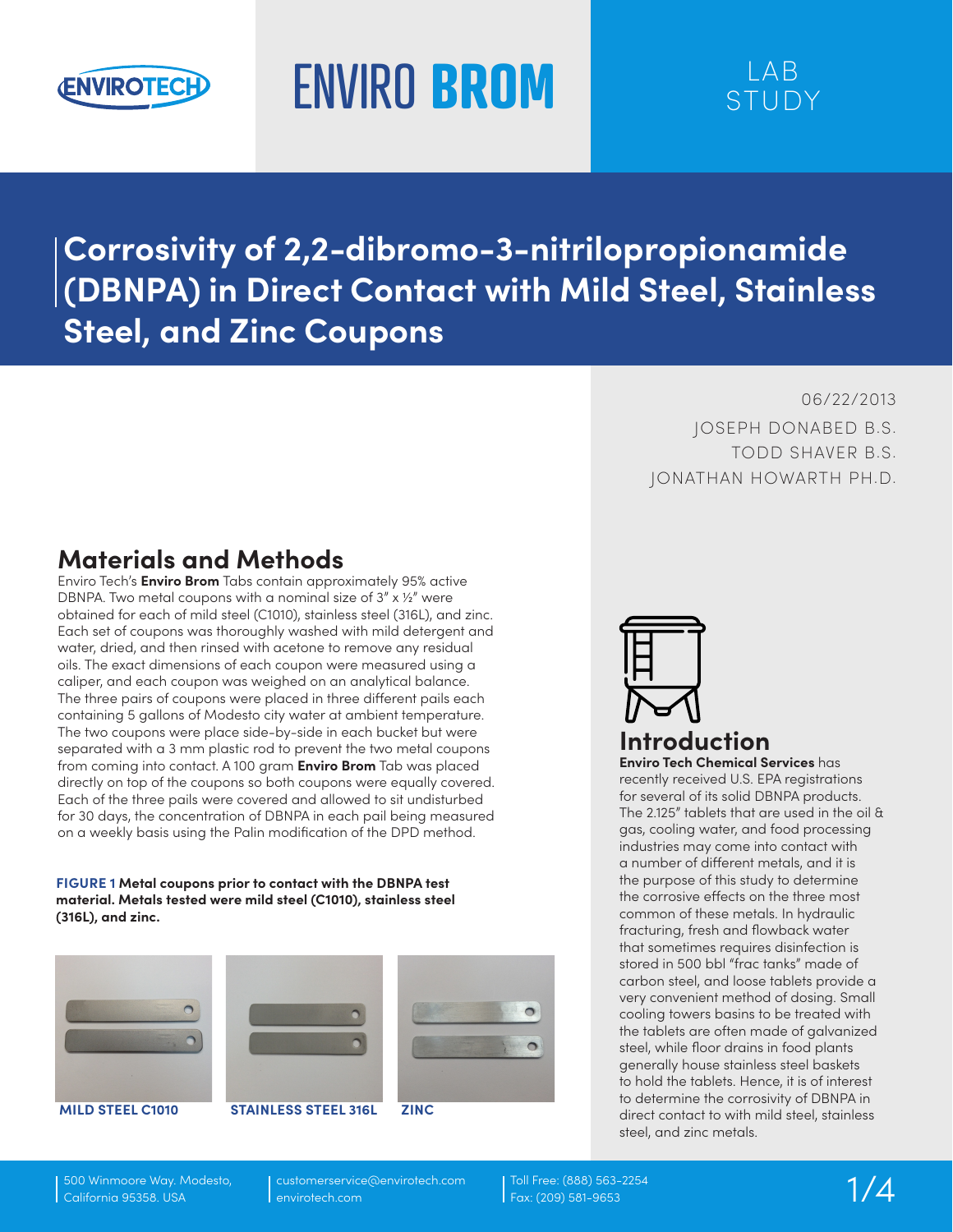

# ENVIRO **BROM** LAB

## STUDY

**Corrosivity of 2,2-dibromo-3-nitrilopropionamide (DBNPA) in Direct Contact with Mild Steel, Stainless Steel, and Zinc Coupons**

> 06/22/2013 JOSEPH DONABED B.S. TODD SHAVER B.S. JONATHAN HOWARTH PH.D.

## **Materials and Methods**

Enviro Tech's **Enviro Brom** Tabs contain approximately 95% active DBNPA. Two metal coupons with a nominal size of  $3'' \times 12''$  were obtained for each of mild steel (C1010), stainless steel (316L), and zinc. Each set of coupons was thoroughly washed with mild detergent and water, dried, and then rinsed with acetone to remove any residual oils. The exact dimensions of each coupon were measured using a caliper, and each coupon was weighed on an analytical balance. The three pairs of coupons were placed in three different pails each containing 5 gallons of Modesto city water at ambient temperature. The two coupons were place side-by-side in each bucket but were separated with a 3 mm plastic rod to prevent the two metal coupons from coming into contact. A 100 gram **Enviro Brom** Tab was placed directly on top of the coupons so both coupons were equally covered. Each of the three pails were covered and allowed to sit undisturbed for 30 days, the concentration of DBNPA in each pail being measured on a weekly basis using the Palin modification of the DPD method.

**FIGURE 1 Metal coupons prior to contact with the DBNPA test material. Metals tested were mild steel (C1010), stainless steel (316L), and zinc.**





**MILD STEEL C1010 STAINLESS STEEL 316L ZINC**



**Enviro Tech Chemical Services** has recently received U.S. EPA registrations for several of its solid DBNPA products. The 2.125" tablets that are used in the oil & gas, cooling water, and food processing industries may come into contact with a number of different metals, and it is the purpose of this study to determine the corrosive effects on the three most common of these metals. In hydraulic fracturing, fresh and flowback water that sometimes requires disinfection is stored in 500 bbl "frac tanks" made of carbon steel, and loose tablets provide a very convenient method of dosing. Small cooling towers basins to be treated with the tablets are often made of galvanized steel, while floor drains in food plants generally house stainless steel baskets to hold the tablets. Hence, it is of interest to determine the corrosivity of DBNPA in direct contact to with mild steel, stainless steel, and zinc metals.

500 Winmoore Way. Modesto, California 95358. USA

customerservice@envirotech.com envirotech.com

Toll Free: (888) 563-2254 Fax: (209) 581-9653 1/4

 $\bigcap$ 

 $\bigcap$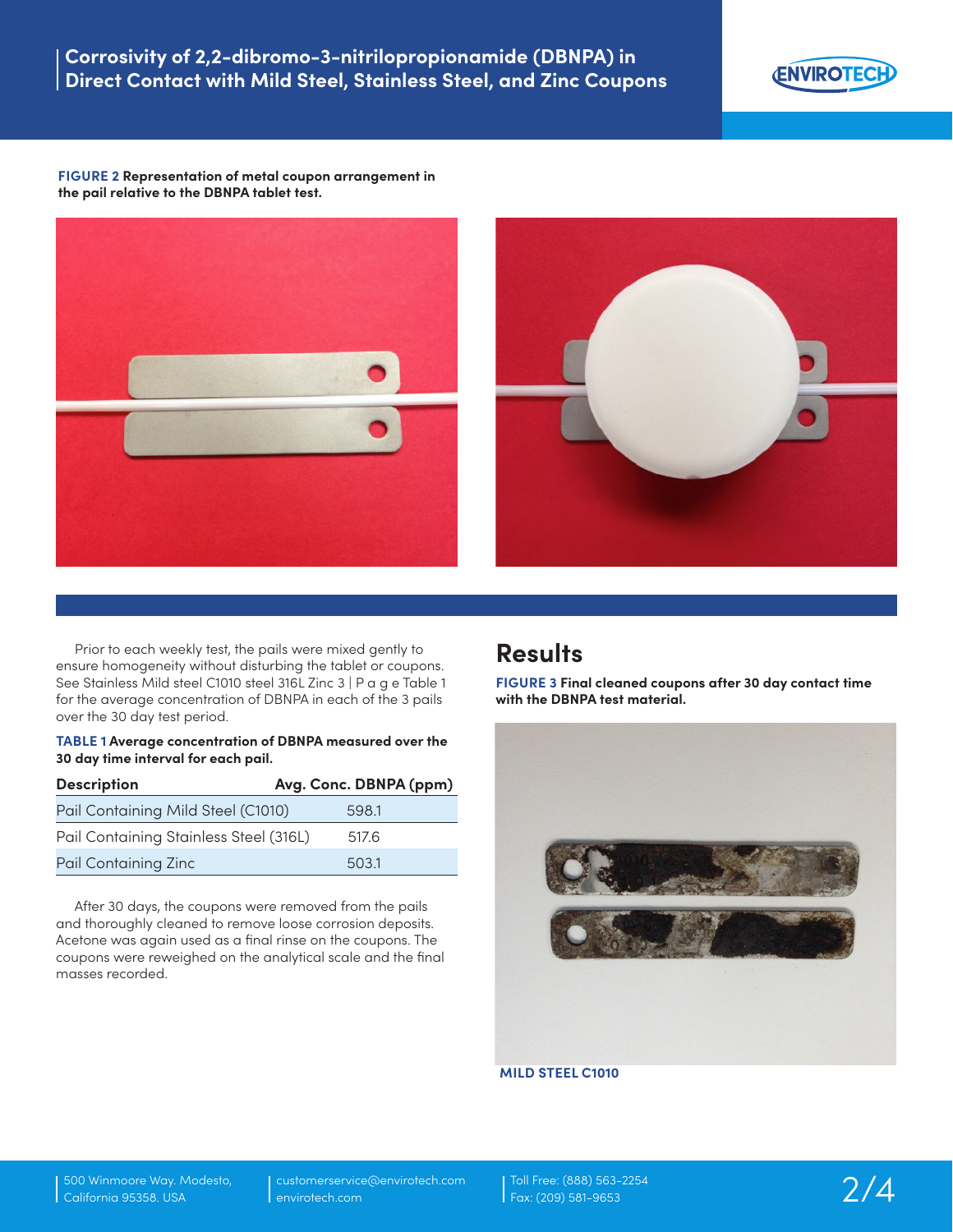

**FIGURE 2 Representation of metal coupon arrangement in the pail relative to the DBNPA tablet test.**





Prior to each weekly test, the pails were mixed gently to ensure homogeneity without disturbing the tablet or coupons. See Stainless Mild steel C1010 steel 316L Zinc 3 | P a g e Table 1 for the average concentration of DBNPA in each of the 3 pails over the 30 day test period.

#### **TABLE 1 Average concentration of DBNPA measured over the 30 day time interval for each pail.**

| <b>Description</b>                     | Avg. Conc. DBNPA (ppm) |
|----------------------------------------|------------------------|
| Pail Containing Mild Steel (C1010)     | 598.1                  |
| Pail Containing Stainless Steel (316L) | 517.6                  |
| Pail Containing Zinc                   | 503.1                  |

After 30 days, the coupons were removed from the pails and thoroughly cleaned to remove loose corrosion deposits. Acetone was again used as a final rinse on the coupons. The coupons were reweighed on the analytical scale and the final masses recorded.

### **Results**

**FIGURE 3 Final cleaned coupons after 30 day contact time with the DBNPA test material.**



#### **MILD STEEL C1010**

500 Winmoore Way. Modesto, California 95358. USA

customerservice@envirotech.com envirotech.com

Toll Free: (888) 563-2254 Fax: (209) 581-9653 2/4

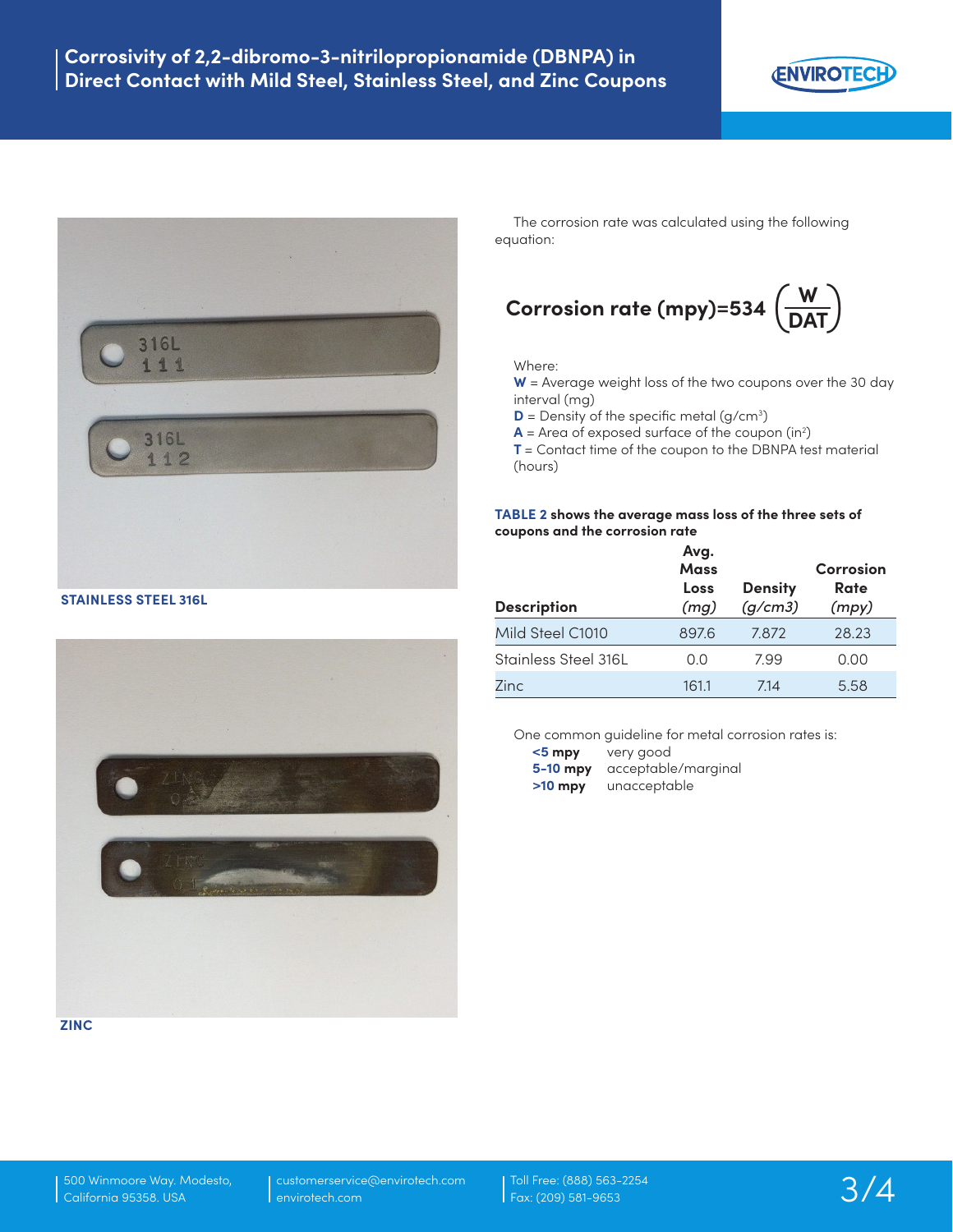



**STAINLESS STEEL 316L**



**ZINC**

The corrosion rate was calculated using the following equation:

## **Corrosion rate (mpy)=534**  $\left(\frac{W}{DAT}\right)$

#### Where:

**W** = Average weight loss of the two coupons over the 30 day interval (mg)

**D** = Density of the specific metal (g/cm<sup>3</sup>)

 $A =$  Area of exposed surface of the coupon (in<sup>2</sup>)

**T** = Contact time of the coupon to the DBNPA test material (hours)

#### **TABLE 2 shows the average mass loss of the three sets of coupons and the corrosion rate**

| <b>Description</b>   | Avg.<br>Mass<br>Loss<br>(mg) | <b>Density</b><br>(g/cm3) | Corrosion<br>Rate<br>(mpy) |
|----------------------|------------------------------|---------------------------|----------------------------|
| Mild Steel C1010     | 8976                         | 7.872                     | 28.23                      |
| Stainless Steel 316L | 0.0                          | 7.99                      | 0.00                       |
| 7inc                 | 161.1                        | 7.14                      | 5.58                       |

One common guideline for metal corrosion rates is:

| $<$ 5 mpy  | very good           |
|------------|---------------------|
| $5-10$ mpy | acceptable/marginal |
| $>10$ mpy  | unacceptable        |